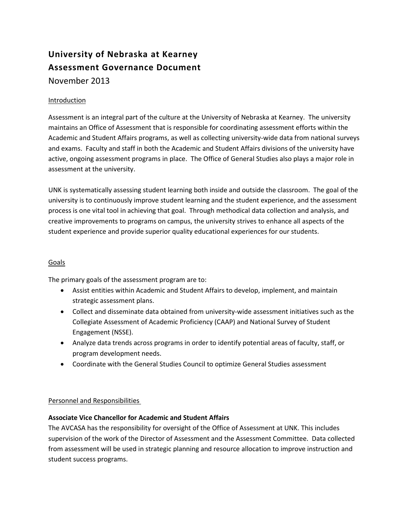# **University of Nebraska at Kearney Assessment Governance Document** November 2013

# Introduction

Assessment is an integral part of the culture at the University of Nebraska at Kearney. The university maintains an Office of Assessment that is responsible for coordinating assessment efforts within the Academic and Student Affairs programs, as well as collecting university-wide data from national surveys and exams. Faculty and staff in both the Academic and Student Affairs divisions of the university have active, ongoing assessment programs in place. The Office of General Studies also plays a major role in assessment at the university.

UNK is systematically assessing student learning both inside and outside the classroom. The goal of the university is to continuously improve student learning and the student experience, and the assessment process is one vital tool in achieving that goal. Through methodical data collection and analysis, and creative improvements to programs on campus, the university strives to enhance all aspects of the student experience and provide superior quality educational experiences for our students.

#### Goals

The primary goals of the assessment program are to:

- Assist entities within Academic and Student Affairs to develop, implement, and maintain strategic assessment plans.
- Collect and disseminate data obtained from university-wide assessment initiatives such as the Collegiate Assessment of Academic Proficiency (CAAP) and National Survey of Student Engagement (NSSE).
- Analyze data trends across programs in order to identify potential areas of faculty, staff, or program development needs.
- Coordinate with the General Studies Council to optimize General Studies assessment

# Personnel and Responsibilities

# **Associate Vice Chancellor for Academic and Student Affairs**

The AVCASA has the responsibility for oversight of the Office of Assessment at UNK. This includes supervision of the work of the Director of Assessment and the Assessment Committee. Data collected from assessment will be used in strategic planning and resource allocation to improve instruction and student success programs.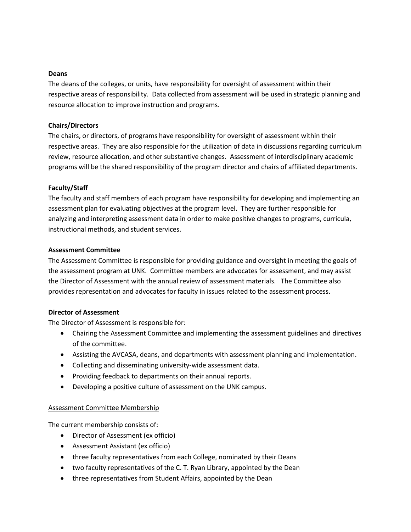#### **Deans**

The deans of the colleges, or units, have responsibility for oversight of assessment within their respective areas of responsibility. Data collected from assessment will be used in strategic planning and resource allocation to improve instruction and programs.

#### **Chairs/Directors**

The chairs, or directors, of programs have responsibility for oversight of assessment within their respective areas. They are also responsible for the utilization of data in discussions regarding curriculum review, resource allocation, and other substantive changes. Assessment of interdisciplinary academic programs will be the shared responsibility of the program director and chairs of affiliated departments.

## **Faculty/Staff**

The faculty and staff members of each program have responsibility for developing and implementing an assessment plan for evaluating objectives at the program level. They are further responsible for analyzing and interpreting assessment data in order to make positive changes to programs, curricula, instructional methods, and student services.

#### **Assessment Committee**

The Assessment Committee is responsible for providing guidance and oversight in meeting the goals of the assessment program at UNK. Committee members are advocates for assessment, and may assist the Director of Assessment with the annual review of assessment materials. The Committee also provides representation and advocates for faculty in issues related to the assessment process.

#### **Director of Assessment**

The Director of Assessment is responsible for:

- Chairing the Assessment Committee and implementing the assessment guidelines and directives of the committee.
- Assisting the AVCASA, deans, and departments with assessment planning and implementation.
- Collecting and disseminating university-wide assessment data.
- Providing feedback to departments on their annual reports.
- Developing a positive culture of assessment on the UNK campus.

## Assessment Committee Membership

The current membership consists of:

- Director of Assessment (ex officio)
- Assessment Assistant (ex officio)
- three faculty representatives from each College, nominated by their Deans
- two faculty representatives of the C. T. Ryan Library, appointed by the Dean
- three representatives from Student Affairs, appointed by the Dean